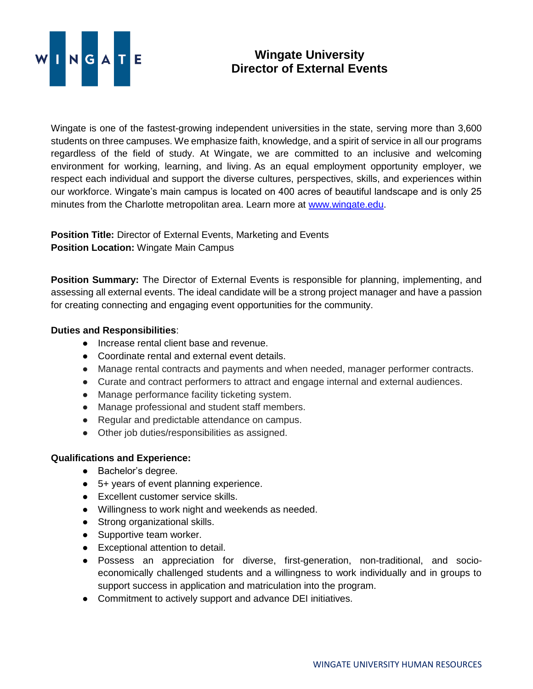

## **Wingate University Director of External Events**

Wingate is one of the fastest-growing independent universities in the state, serving more than 3,600 students on three campuses. We emphasize faith, knowledge, and a spirit of service in all our programs regardless of the field of study. At Wingate, we are committed to an inclusive and welcoming environment for working, learning, and living. As an equal employment opportunity employer, we respect each individual and support the diverse cultures, perspectives, skills, and experiences within our workforce. Wingate's main campus is located on 400 acres of beautiful landscape and is only 25 minutes from the Charlotte metropolitan area. Learn more at [www.wingate.edu.](http://www.wingate/edu)

**Position Title:** Director of External Events, Marketing and Events **Position Location:** Wingate Main Campus

**Position Summary:** The Director of External Events is responsible for planning, implementing, and assessing all external events. The ideal candidate will be a strong project manager and have a passion for creating connecting and engaging event opportunities for the community.

## **Duties and Responsibilities**:

- Increase rental client base and revenue.
- Coordinate rental and external event details.
- Manage rental contracts and payments and when needed, manager performer contracts.
- Curate and contract performers to attract and engage internal and external audiences.
- Manage performance facility ticketing system.
- Manage professional and student staff members.
- Regular and predictable attendance on campus.
- Other job duties/responsibilities as assigned.

## **Qualifications and Experience:**

- Bachelor's degree.
- 5+ years of event planning experience.
- Excellent customer service skills.
- Willingness to work night and weekends as needed.
- Strong organizational skills.
- Supportive team worker.
- Exceptional attention to detail.
- Possess an appreciation for diverse, first-generation, non-traditional, and socioeconomically challenged students and a willingness to work individually and in groups to support success in application and matriculation into the program.
- Commitment to actively support and advance DEI initiatives.